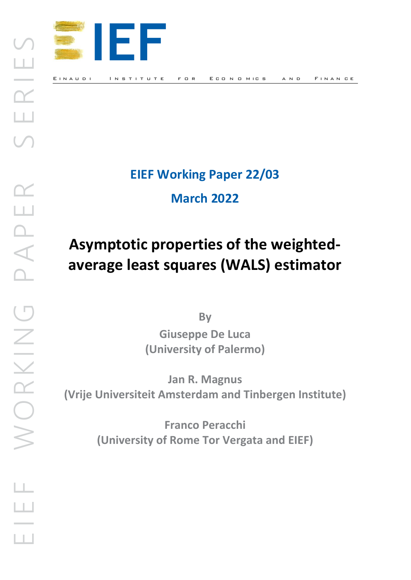

#### E IN AUDI IN STITUTE FOR ECONOMICS AND FINANCE

## **EIEF Working Paper 22/03**

**March 2022**

# **Asymptotic properties of the weightedaverage least squares (WALS) estimator**

**By Giuseppe De Luca (University of Palermo)**

**Jan R. Magnus (Vrije Universiteit Amsterdam and Tinbergen Institute)**

> **Franco Peracchi (University of Rome Tor Vergata and EIEF)**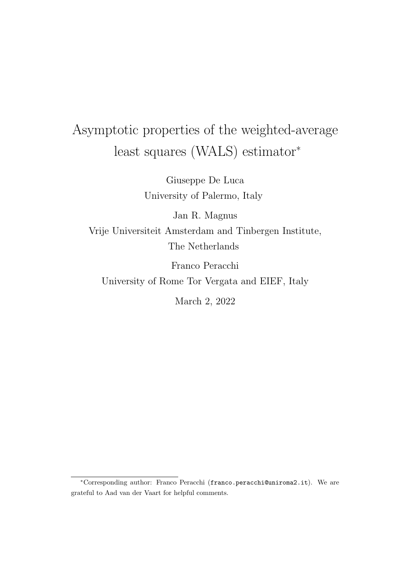# Asymptotic properties of the weighted-average least squares (WALS) estimator<sup>∗</sup>

Giuseppe De Luca University of Palermo, Italy

Jan R. Magnus

Vrije Universiteit Amsterdam and Tinbergen Institute, The Netherlands

Franco Peracchi

University of Rome Tor Vergata and EIEF, Italy

March 2, 2022

<sup>∗</sup>Corresponding author: Franco Peracchi (franco.peracchi@uniroma2.it). We are grateful to Aad van der Vaart for helpful comments.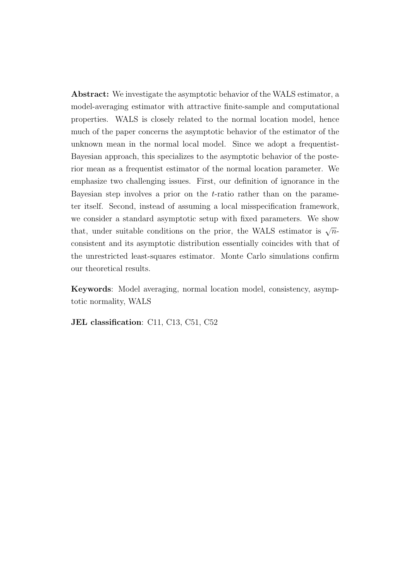Abstract: We investigate the asymptotic behavior of the WALS estimator, a model-averaging estimator with attractive finite-sample and computational properties. WALS is closely related to the normal location model, hence much of the paper concerns the asymptotic behavior of the estimator of the unknown mean in the normal local model. Since we adopt a frequentist-Bayesian approach, this specializes to the asymptotic behavior of the posterior mean as a frequentist estimator of the normal location parameter. We emphasize two challenging issues. First, our definition of ignorance in the Bayesian step involves a prior on the  $t$ -ratio rather than on the parameter itself. Second, instead of assuming a local misspecification framework, we consider a standard asymptotic setup with fixed parameters. We show that, under suitable conditions on the prior, the WALS estimator is  $\sqrt{n}$ consistent and its asymptotic distribution essentially coincides with that of the unrestricted least-squares estimator. Monte Carlo simulations confirm our theoretical results.

Keywords: Model averaging, normal location model, consistency, asymptotic normality, WALS

JEL classification: C11, C13, C51, C52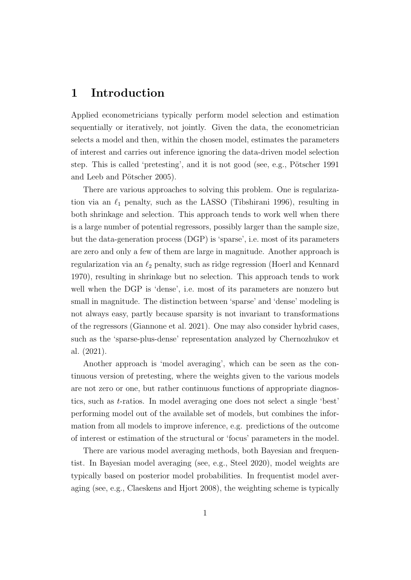### 1 Introduction

Applied econometricians typically perform model selection and estimation sequentially or iteratively, not jointly. Given the data, the econometrician selects a model and then, within the chosen model, estimates the parameters of interest and carries out inference ignoring the data-driven model selection step. This is called 'pretesting', and it is not good (see, e.g., Pötscher 1991) and Leeb and Pötscher 2005).

There are various approaches to solving this problem. One is regularization via an  $\ell_1$  penalty, such as the LASSO (Tibshirani 1996), resulting in both shrinkage and selection. This approach tends to work well when there is a large number of potential regressors, possibly larger than the sample size, but the data-generation process (DGP) is 'sparse', i.e. most of its parameters are zero and only a few of them are large in magnitude. Another approach is regularization via an  $\ell_2$  penalty, such as ridge regression (Hoerl and Kennard 1970), resulting in shrinkage but no selection. This approach tends to work well when the DGP is 'dense', i.e. most of its parameters are nonzero but small in magnitude. The distinction between 'sparse' and 'dense' modeling is not always easy, partly because sparsity is not invariant to transformations of the regressors (Giannone et al. 2021). One may also consider hybrid cases, such as the 'sparse-plus-dense' representation analyzed by Chernozhukov et al. (2021).

Another approach is 'model averaging', which can be seen as the continuous version of pretesting, where the weights given to the various models are not zero or one, but rather continuous functions of appropriate diagnostics, such as t-ratios. In model averaging one does not select a single 'best' performing model out of the available set of models, but combines the information from all models to improve inference, e.g. predictions of the outcome of interest or estimation of the structural or 'focus' parameters in the model.

There are various model averaging methods, both Bayesian and frequentist. In Bayesian model averaging (see, e.g., Steel 2020), model weights are typically based on posterior model probabilities. In frequentist model averaging (see, e.g., Claeskens and Hjort 2008), the weighting scheme is typically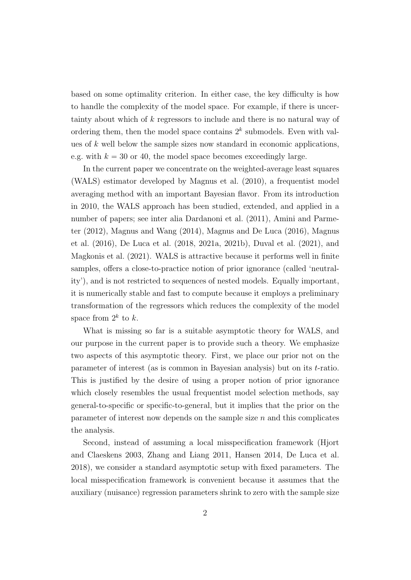based on some optimality criterion. In either case, the key difficulty is how to handle the complexity of the model space. For example, if there is uncertainty about which of k regressors to include and there is no natural way of ordering them, then the model space contains  $2^k$  submodels. Even with values of  $k$  well below the sample sizes now standard in economic applications, e.g. with  $k = 30$  or 40, the model space becomes exceedingly large.

In the current paper we concentrate on the weighted-average least squares (WALS) estimator developed by Magnus et al. (2010), a frequentist model averaging method with an important Bayesian flavor. From its introduction in 2010, the WALS approach has been studied, extended, and applied in a number of papers; see inter alia Dardanoni et al. (2011), Amini and Parmeter (2012), Magnus and Wang (2014), Magnus and De Luca (2016), Magnus et al. (2016), De Luca et al. (2018, 2021a, 2021b), Duval et al. (2021), and Magkonis et al. (2021). WALS is attractive because it performs well in finite samples, offers a close-to-practice notion of prior ignorance (called 'neutrality'), and is not restricted to sequences of nested models. Equally important, it is numerically stable and fast to compute because it employs a preliminary transformation of the regressors which reduces the complexity of the model space from  $2^k$  to k.

What is missing so far is a suitable asymptotic theory for WALS, and our purpose in the current paper is to provide such a theory. We emphasize two aspects of this asymptotic theory. First, we place our prior not on the parameter of interest (as is common in Bayesian analysis) but on its t-ratio. This is justified by the desire of using a proper notion of prior ignorance which closely resembles the usual frequentist model selection methods, say general-to-specific or specific-to-general, but it implies that the prior on the parameter of interest now depends on the sample size  $n$  and this complicates the analysis.

Second, instead of assuming a local misspecification framework (Hjort and Claeskens 2003, Zhang and Liang 2011, Hansen 2014, De Luca et al. 2018), we consider a standard asymptotic setup with fixed parameters. The local misspecification framework is convenient because it assumes that the auxiliary (nuisance) regression parameters shrink to zero with the sample size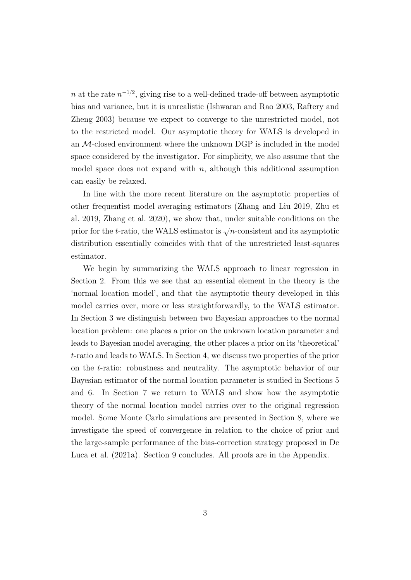n at the rate  $n^{-1/2}$ , giving rise to a well-defined trade-off between asymptotic bias and variance, but it is unrealistic (Ishwaran and Rao 2003, Raftery and Zheng 2003) because we expect to converge to the unrestricted model, not to the restricted model. Our asymptotic theory for WALS is developed in an M-closed environment where the unknown DGP is included in the model space considered by the investigator. For simplicity, we also assume that the model space does not expand with  $n$ , although this additional assumption can easily be relaxed.

In line with the more recent literature on the asymptotic properties of other frequentist model averaging estimators (Zhang and Liu 2019, Zhu et al. 2019, Zhang et al. 2020), we show that, under suitable conditions on the prior for the t-ratio, the WALS estimator is  $\sqrt{n}$ -consistent and its asymptotic distribution essentially coincides with that of the unrestricted least-squares estimator.

We begin by summarizing the WALS approach to linear regression in Section 2. From this we see that an essential element in the theory is the 'normal location model', and that the asymptotic theory developed in this model carries over, more or less straightforwardly, to the WALS estimator. In Section 3 we distinguish between two Bayesian approaches to the normal location problem: one places a prior on the unknown location parameter and leads to Bayesian model averaging, the other places a prior on its 'theoretical' t-ratio and leads to WALS. In Section 4, we discuss two properties of the prior on the t-ratio: robustness and neutrality. The asymptotic behavior of our Bayesian estimator of the normal location parameter is studied in Sections 5 and 6. In Section 7 we return to WALS and show how the asymptotic theory of the normal location model carries over to the original regression model. Some Monte Carlo simulations are presented in Section 8, where we investigate the speed of convergence in relation to the choice of prior and the large-sample performance of the bias-correction strategy proposed in De Luca et al. (2021a). Section 9 concludes. All proofs are in the Appendix.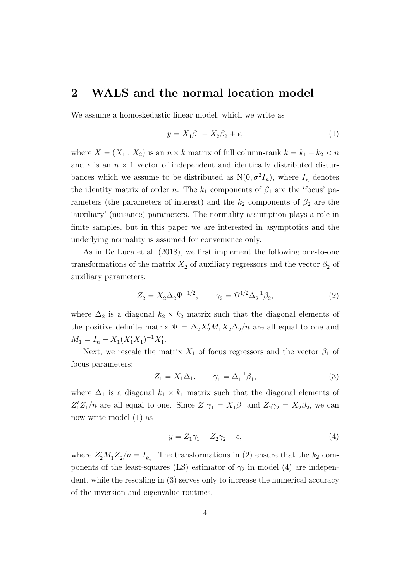### 2 WALS and the normal location model

We assume a homoskedastic linear model, which we write as

$$
y = X_1 \beta_1 + X_2 \beta_2 + \epsilon,\tag{1}
$$

where  $X = (X_1 : X_2)$  is an  $n \times k$  matrix of full column-rank  $k = k_1 + k_2 < n$ and  $\epsilon$  is an  $n \times 1$  vector of independent and identically distributed disturbances which we assume to be distributed as  $N(0, \sigma^2 I_n)$ , where  $I_n$  denotes the identity matrix of order n. The  $k_1$  components of  $\beta_1$  are the 'focus' parameters (the parameters of interest) and the  $k_2$  components of  $\beta_2$  are the 'auxiliary' (nuisance) parameters. The normality assumption plays a role in finite samples, but in this paper we are interested in asymptotics and the underlying normality is assumed for convenience only.

As in De Luca et al. (2018), we first implement the following one-to-one transformations of the matrix  $X_2$  of auxiliary regressors and the vector  $\beta_2$  of auxiliary parameters:

$$
Z_2 = X_2 \Delta_2 \Psi^{-1/2}, \qquad \gamma_2 = \Psi^{1/2} \Delta_2^{-1} \beta_2,\tag{2}
$$

where  $\Delta_2$  is a diagonal  $k_2 \times k_2$  matrix such that the diagonal elements of the positive definite matrix  $\Psi = \Delta_2 X_2' M_1 X_2 \Delta_2 / n$  are all equal to one and  $M_1 = I_n - X_1 (X_1' X_1)^{-1} X_1'.$ 

Next, we rescale the matrix  $X_1$  of focus regressors and the vector  $\beta_1$  of focus parameters:

$$
Z_1 = X_1 \Delta_1, \qquad \gamma_1 = \Delta_1^{-1} \beta_1,\tag{3}
$$

where  $\Delta_1$  is a diagonal  $k_1 \times k_1$  matrix such that the diagonal elements of  $Z_1'Z_1/n$  are all equal to one. Since  $Z_1\gamma_1 = X_1\beta_1$  and  $Z_2\gamma_2 = X_2\beta_2$ , we can now write model (1) as

$$
y = Z_1 \gamma_1 + Z_2 \gamma_2 + \epsilon,\tag{4}
$$

where  $Z_2'M_1Z_2/n = I_{k_2}$ . The transformations in (2) ensure that the  $k_2$  components of the least-squares (LS) estimator of  $\gamma_2$  in model (4) are independent, while the rescaling in (3) serves only to increase the numerical accuracy of the inversion and eigenvalue routines.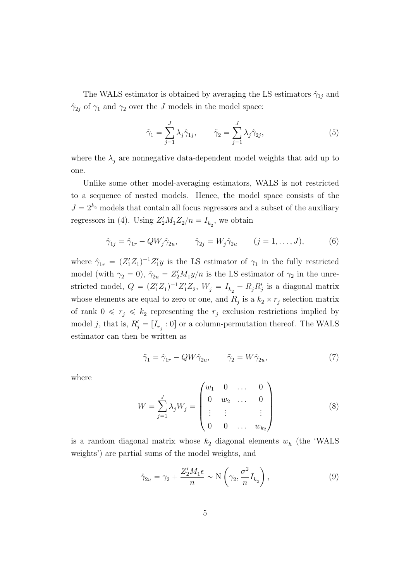The WALS estimator is obtained by averaging the LS estimators  $\hat{\gamma}_{1j}$  and  $\hat{\gamma}_{2j}$  of  $\gamma_1$  and  $\gamma_2$  over the J models in the model space:

$$
\tilde{\gamma}_1 = \sum_{j=1}^J \lambda_j \hat{\gamma}_{1j}, \qquad \tilde{\gamma}_2 = \sum_{j=1}^J \lambda_j \hat{\gamma}_{2j}, \qquad (5)
$$

where the  $\lambda_j$  are nonnegative data-dependent model weights that add up to one.

Unlike some other model-averaging estimators, WALS is not restricted to a sequence of nested models. Hence, the model space consists of the  $J = 2^{k_2}$  models that contain all focus regressors and a subset of the auxiliary regressors in (4). Using  $Z_2'M_1Z_2/n = I_{k_2}$ , we obtain

$$
\hat{\gamma}_{1j} = \hat{\gamma}_{1r} - QW_j \hat{\gamma}_{2u}, \qquad \hat{\gamma}_{2j} = W_j \hat{\gamma}_{2u} \qquad (j = 1, \dots, J), \tag{6}
$$

where  $\hat{\gamma}_{1r} = (Z_1'Z_1)^{-1}Z_1'y$  is the LS estimator of  $\gamma_1$  in the fully restricted model (with  $\gamma_2 = 0$ ),  $\hat{\gamma}_{2u} = Z_2'M_1y/n$  is the LS estimator of  $\gamma_2$  in the unrestricted model,  $Q = (Z_1' Z_1)^{-1} Z_1' Z_2$ ,  $W_j = I_{k_2} - R_j R_j'$  is a diagonal matrix whose elements are equal to zero or one, and  $R_j$  is a  $k_2 \times r_j$  selection matrix of rank  $0 \le r_j \le k_2$  representing the  $r_j$  exclusion restrictions implied by model j, that is,  $R'_{j} = [I_{r_{j}}: 0]$  or a column-permutation thereof. The WALS estimator can then be written as

$$
\tilde{\gamma}_1 = \hat{\gamma}_{1r} - QW\hat{\gamma}_{2u}, \qquad \tilde{\gamma}_2 = W\hat{\gamma}_{2u}, \tag{7}
$$

˛

where

$$
W = \sum_{j=1}^{J} \lambda_j W_j = \begin{pmatrix} w_1 & 0 & \dots & 0 \\ 0 & w_2 & \dots & 0 \\ \vdots & \vdots & & \vdots \\ 0 & 0 & \dots & w_{k_2} \end{pmatrix}
$$
 (8)

is a random diagonal matrix whose  $k_2$  diagonal elements  $w_h$  (the 'WALS weights') are partial sums of the model weights, and

 $\mathbb{Z}^2$ 

$$
\hat{\gamma}_{2u} = \gamma_2 + \frac{Z_2'M_1\epsilon}{n} \sim \mathcal{N}\left(\gamma_2, \frac{\sigma^2}{n}I_{k_2}\right),\tag{9}
$$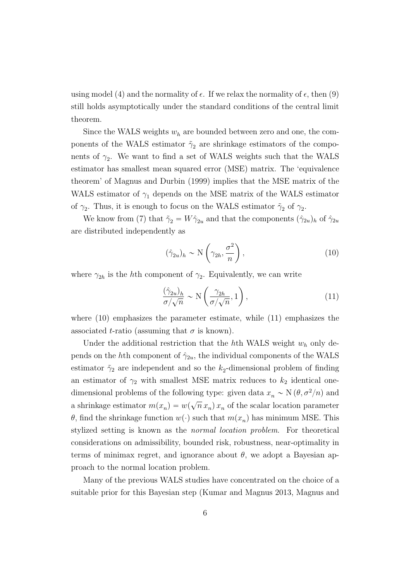using model (4) and the normality of  $\epsilon$ . If we relax the normality of  $\epsilon$ , then (9) still holds asymptotically under the standard conditions of the central limit theorem.

Since the WALS weights  $w_h$  are bounded between zero and one, the components of the WALS estimator  $\tilde{\gamma}_2$  are shrinkage estimators of the components of  $\gamma_2$ . We want to find a set of WALS weights such that the WALS estimator has smallest mean squared error (MSE) matrix. The 'equivalence theorem' of Magnus and Durbin (1999) implies that the MSE matrix of the WALS estimator of  $\gamma_1$  depends on the MSE matrix of the WALS estimator of  $\gamma_2$ . Thus, it is enough to focus on the WALS estimator  $\tilde{\gamma}_2$  of  $\gamma_2$ .

We know from (7) that  $\tilde{\gamma}_2 = W\hat{\gamma}_{2u}$  and that the components  $(\hat{\gamma}_{2u})_h$  of  $\hat{\gamma}_{2u}$ are distributed independently as

$$
(\hat{\gamma}_{2u})_h \sim \mathcal{N}\left(\gamma_{2h}, \frac{\sigma^2}{n}\right),\tag{10}
$$

where  $\gamma_{2h}$  is the hth component of  $\gamma_2$ . Equivalently, we can write

$$
\frac{(\hat{\gamma}_{2u})_h}{\sigma/\sqrt{n}} \sim \mathcal{N}\left(\frac{\gamma_{2h}}{\sigma/\sqrt{n}}, 1\right),\tag{11}
$$

where  $(10)$  emphasizes the parameter estimate, while  $(11)$  emphasizes the associated t-ratio (assuming that  $\sigma$  is known).

Under the additional restriction that the hth WALS weight  $w_h$  only depends on the hth component of  $\hat{\gamma}_{2u}$ , the individual components of the WALS estimator  $\tilde{\gamma}_2$  are independent and so the  $k_2$ -dimensional problem of finding an estimator of  $\gamma_2$  with smallest MSE matrix reduces to  $k_2$  identical onedimensional problems of the following type: given data  $x_n \sim N(\theta, \sigma^2/n)$  and a shrinkage estimator  $m(x_n) = w(\sqrt{n} x_n) x_n$  of the scalar location parameter  $\theta$ , find the shrinkage function  $w(\cdot)$  such that  $m(x_n)$  has minimum MSE. This stylized setting is known as the normal location problem. For theoretical considerations on admissibility, bounded risk, robustness, near-optimality in terms of minimax regret, and ignorance about  $\theta$ , we adopt a Bayesian approach to the normal location problem.

Many of the previous WALS studies have concentrated on the choice of a suitable prior for this Bayesian step (Kumar and Magnus 2013, Magnus and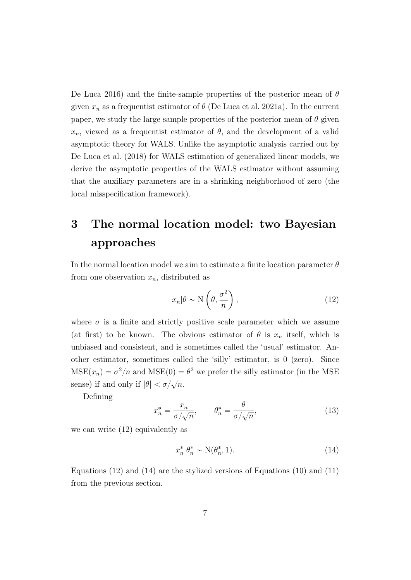De Luca 2016) and the finite-sample properties of the posterior mean of  $\theta$ given  $x_n$  as a frequentist estimator of  $\theta$  (De Luca et al. 2021a). In the current paper, we study the large sample properties of the posterior mean of  $\theta$  given  $x_n$ , viewed as a frequentist estimator of  $\theta$ , and the development of a valid asymptotic theory for WALS. Unlike the asymptotic analysis carried out by De Luca et al. (2018) for WALS estimation of generalized linear models, we derive the asymptotic properties of the WALS estimator without assuming that the auxiliary parameters are in a shrinking neighborhood of zero (the local misspecification framework).

## 3 The normal location model: two Bayesian approaches

In the normal location model we aim to estimate a finite location parameter  $\theta$ from one observation  $x_n$ , distributed as

$$
x_n|\theta \sim \mathcal{N}\left(\theta, \frac{\sigma^2}{n}\right),\tag{12}
$$

where  $\sigma$  is a finite and strictly positive scale parameter which we assume (at first) to be known. The obvious estimator of  $\theta$  is  $x_n$  itself, which is unbiased and consistent, and is sometimes called the 'usual' estimator. Another estimator, sometimes called the 'silly' estimator, is 0 (zero). Since  $MSE(x_n) = \sigma^2/n$  and  $MSE(0) = \theta^2$  we prefer the silly estimator (in the MSE sense) if and only if  $|\theta| < \sigma/\sqrt{n}$ .

Defining

$$
x_n^* = \frac{x_n}{\sigma/\sqrt{n}}, \qquad \theta_n^* = \frac{\theta}{\sigma/\sqrt{n}}, \tag{13}
$$

we can write (12) equivalently as

$$
x_n^* \mid \theta_n^* \sim \mathcal{N}(\theta_n^*, 1). \tag{14}
$$

Equations (12) and (14) are the stylized versions of Equations (10) and (11) from the previous section.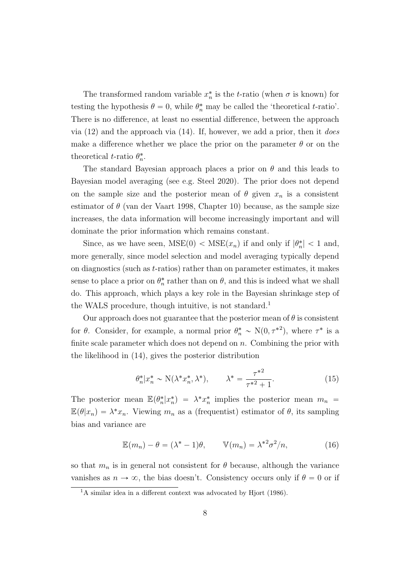The transformed random variable  $x_n^*$  is the t-ratio (when  $\sigma$  is known) for testing the hypothesis  $\theta = 0$ , while  $\theta_n^*$  may be called the 'theoretical t-ratio'. There is no difference, at least no essential difference, between the approach via  $(12)$  and the approach via  $(14)$ . If, however, we add a prior, then it *does* make a difference whether we place the prior on the parameter  $\theta$  or on the theoretical *t*-ratio  $\theta_n^*$ .

The standard Bayesian approach places a prior on  $\theta$  and this leads to Bayesian model averaging (see e.g. Steel 2020). The prior does not depend on the sample size and the posterior mean of  $\theta$  given  $x_n$  is a consistent estimator of  $\theta$  (van der Vaart 1998, Chapter 10) because, as the sample size increases, the data information will become increasingly important and will dominate the prior information which remains constant.

Since, as we have seen,  $MSE(0) < MSE(x_n)$  if and only if  $|\theta_n^*| < 1$  and, more generally, since model selection and model averaging typically depend on diagnostics (such as t-ratios) rather than on parameter estimates, it makes sense to place a prior on  $\theta_n^*$  rather than on  $\theta$ , and this is indeed what we shall do. This approach, which plays a key role in the Bayesian shrinkage step of the WALS procedure, though intuitive, is not standard.<sup>1</sup>

Our approach does not guarantee that the posterior mean of  $\theta$  is consistent for  $\theta$ . Consider, for example, a normal prior  $\theta_n^* \sim N(0, \tau^{*2})$ , where  $\tau^*$  is a finite scale parameter which does not depend on  $n$ . Combining the prior with the likelihood in (14), gives the posterior distribution

$$
\theta_n^* | x_n^* \sim \mathcal{N}(\lambda^* x_n^*, \lambda^*), \qquad \lambda^* = \frac{\tau^{*2}}{\tau^{*2} + 1}.
$$
 (15)

The posterior mean  $\mathbb{E}(\theta_n^* | x_n^*) = \lambda^* x_n^*$  implies the posterior mean  $m_n$  $\mathbb{E}(\theta|x_n) = \lambda^* x_n$ . Viewing  $m_n$  as a (frequentist) estimator of  $\theta$ , its sampling bias and variance are

$$
\mathbb{E}(m_n) - \theta = (\lambda^* - 1)\theta, \qquad \mathbb{V}(m_n) = \lambda^{*2} \sigma^2 / n,\tag{16}
$$

so that  $m_n$  is in general not consistent for  $\theta$  because, although the variance vanishes as  $n \to \infty$ , the bias doesn't. Consistency occurs only if  $\theta = 0$  or if

<sup>&</sup>lt;sup>1</sup>A similar idea in a different context was advocated by Hjort (1986).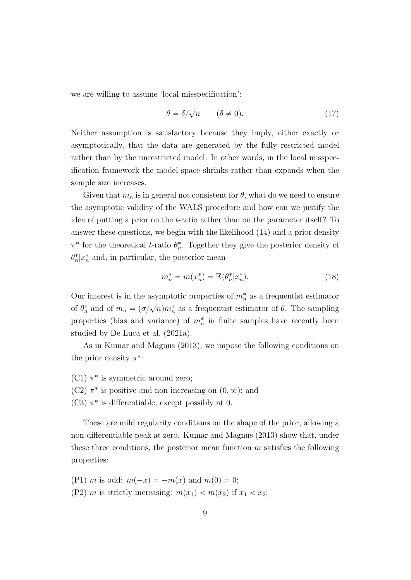we are willing to assume 'local misspecification':

$$
\theta = \delta/\sqrt{n} \qquad (\delta \neq 0). \tag{17}
$$

Neither assumption is satisfactory because they imply, either exactly or asymptotically, that the data are generated by the fully restricted model rather than by the unrestricted model. In other words, in the local misspecification framework the model space shrinks rather than expands when the sample size increases.

Given that  $m_n$  is in general not consistent for  $\theta$ , what do we need to ensure the asymptotic validity of the WALS procedure and how can we justify the idea of putting a prior on the t-ratio rather than on the parameter itself? To answer these questions, we begin with the likelihood (14) and a prior density  $\pi^*$  for the theoretical *t*-ratio  $\theta_n^*$ . Together they give the posterior density of  $\theta_n^* | x_n^*$  and, in particular, the posterior mean

$$
m_n^* = m(x_n^*) = \mathbb{E}(\theta_n^* | x_n^*). \tag{18}
$$

Our interest is in the asymptotic properties of  $m_n^*$  as a frequentist estimator of  $\theta_n^*$  and of  $m_n = (\sigma/\sqrt{n})m_n^*$  as a frequentist estimator of  $\theta$ . The sampling properties (bias and variance) of  $m_n^*$  in finite samples have recently been studied by De Luca et al. (2021a).

As in Kumar and Magnus (2013), we impose the following conditions on the prior density  $\pi^*$ :

- (C1)  $\pi^*$  is symmetric around zero;
- (C2)  $\pi^*$  is positive and non-increasing on  $(0, \infty)$ ; and
- (C3)  $\pi^*$  is differentiable, except possibly at 0.

These are mild regularity conditions on the shape of the prior, allowing a non-differentiable peak at zero. Kumar and Magnus (2013) show that, under these three conditions, the posterior mean function  $m$  satisfies the following properties:

- (P1) m is odd:  $m(-x) = -m(x)$  and  $m(0) = 0$ ;
- (P2) m is strictly increasing:  $m(x_1) < m(x_2)$  if  $x_1 < x_2$ ;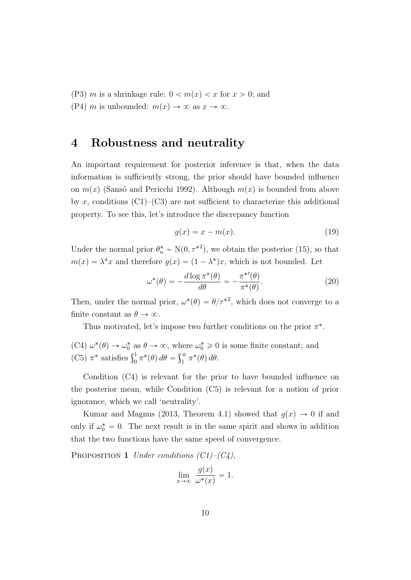(P3) m is a shrinkage rule:  $0 < m(x) < x$  for  $x > 0$ ; and (P4) m is unbounded:  $m(x) \rightarrow \infty$  as  $x \rightarrow \infty$ .

### 4 Robustness and neutrality

An important requirement for posterior inference is that, when the data information is sufficiently strong, the prior should have bounded influence on  $m(x)$  (Sansó and Pericchi 1992). Although  $m(x)$  is bounded from above by x, conditions  $(C1)$ – $(C3)$  are not sufficient to characterize this additional property. To see this, let's introduce the discrepancy function

$$
g(x) = x - m(x). \tag{19}
$$

Under the normal prior  $\theta_n^* \sim N(0, \tau^{*2})$ , we obtain the posterior (15), so that  $m(x) = \lambda^* x$  and therefore  $g(x) = (1 - \lambda^*) x$ , which is not bounded. Let

$$
\omega^*(\theta) = -\frac{d \log \pi^*(\theta)}{d\theta} = -\frac{\pi^{*'}(\theta)}{\pi^*(\theta)}.
$$
\n(20)

Then, under the normal prior,  $\omega^*(\theta) = \theta/\tau^{*2}$ , which does not converge to a finite constant as  $\theta \to \infty$ .

Thus motivated, let's impose two further conditions on the prior  $\pi^*$ .

(C4)  $\omega^*(\theta) \to \omega_0^*$  as  $\theta \to \infty$ , where  $\omega_0^* \geq 0$  is some finite constant; and (C4)  $\omega$  (v)  $\rightarrow \omega_0$  as  $v \rightarrow \omega$ , where<br>(C5)  $\pi^*$  satisfies  $\int_0^1 \pi^*(\theta) d\theta = \int_1^{\infty}$  $\int_{1}^{\infty} \pi^*(\theta) d\theta.$ 

Condition (C4) is relevant for the prior to have bounded influence on the posterior mean, while Condition (C5) is relevant for a notion of prior ignorance, which we call 'neutrality'.

Kumar and Magnus (2013, Theorem 4.1) showed that  $g(x) \to 0$  if and only if  $\omega_0^* = 0$ . The next result is in the same spirit and shows in addition that the two functions have the same speed of convergence.

PROPOSITION 1 Under conditions  $(C1)$ – $(C4)$ ,

$$
\lim_{x \to \infty} \frac{g(x)}{\omega^*(x)} = 1.
$$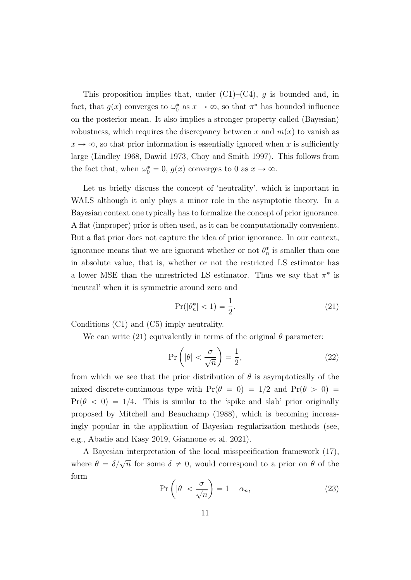This proposition implies that, under  $(C1)$ – $(C4)$ , q is bounded and, in fact, that  $g(x)$  converges to  $\omega_0^*$  as  $x \to \infty$ , so that  $\pi^*$  has bounded influence on the posterior mean. It also implies a stronger property called (Bayesian) robustness, which requires the discrepancy between x and  $m(x)$  to vanish as  $x \to \infty$ , so that prior information is essentially ignored when x is sufficiently large (Lindley 1968, Dawid 1973, Choy and Smith 1997). This follows from the fact that, when  $\omega_0^* = 0$ ,  $g(x)$  converges to 0 as  $x \to \infty$ .

Let us briefly discuss the concept of 'neutrality', which is important in WALS although it only plays a minor role in the asymptotic theory. In a Bayesian context one typically has to formalize the concept of prior ignorance. A flat (improper) prior is often used, as it can be computationally convenient. But a flat prior does not capture the idea of prior ignorance. In our context, ignorance means that we are ignorant whether or not  $\theta_n^*$  is smaller than one in absolute value, that is, whether or not the restricted LS estimator has a lower MSE than the unrestricted LS estimator. Thus we say that  $\pi^*$  is 'neutral' when it is symmetric around zero and

$$
\Pr(|\theta_n^*| < 1) = \frac{1}{2}.\tag{21}
$$

Conditions (C1) and (C5) imply neutrality.

We can write (21) equivalently in terms of the original  $\theta$  parameter: ˙

$$
\Pr\left(|\theta| < \frac{\sigma}{\sqrt{n}}\right) = \frac{1}{2},\tag{22}
$$

from which we see that the prior distribution of  $\theta$  is asymptotically of the mixed discrete-continuous type with  $Pr(\theta = 0) = 1/2$  and  $Pr(\theta > 0)$  $Pr(\theta < 0) = 1/4$ . This is similar to the 'spike and slab' prior originally proposed by Mitchell and Beauchamp (1988), which is becoming increasingly popular in the application of Bayesian regularization methods (see, e.g., Abadie and Kasy 2019, Giannone et al. 2021).

A Bayesian interpretation of the local misspecification framework (17), where  $\theta = \delta/\sqrt{n}$  for some  $\delta \neq 0$ , would correspond to a prior on  $\theta$  of the form ˙

$$
\Pr\left(|\theta| < \frac{\sigma}{\sqrt{n}}\right) = 1 - \alpha_n,\tag{23}
$$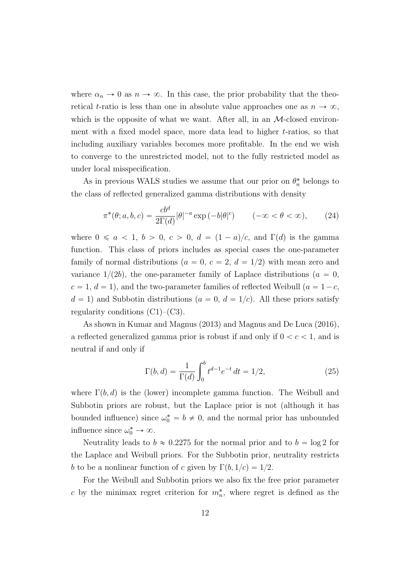where  $\alpha_n \to 0$  as  $n \to \infty$ . In this case, the prior probability that the theoretical t-ratio is less than one in absolute value approaches one as  $n \to \infty$ , which is the opposite of what we want. After all, in an  $\mathcal{M}\text{-closed environment}$ ment with a fixed model space, more data lead to higher t-ratios, so that including auxiliary variables becomes more profitable. In the end we wish to converge to the unrestricted model, not to the fully restricted model as under local misspecification.

As in previous WALS studies we assume that our prior on  $\theta_n^*$  belongs to the class of reflected generalized gamma distributions with density

$$
\pi^*(\theta; a, b, c) = \frac{cb^d}{2\Gamma(d)} |\theta|^{-a} \exp(-b|\theta|^c) \qquad (-\infty < \theta < \infty), \qquad (24)
$$

where  $0 \le a < 1, b > 0, c > 0, d = (1 - a)/c$ , and  $\Gamma(d)$  is the gamma function. This class of priors includes as special cases the one-parameter family of normal distributions ( $a = 0, c = 2, d = 1/2$ ) with mean zero and variance  $1/(2b)$ , the one-parameter family of Laplace distributions ( $a = 0$ ,  $c = 1, d = 1$ , and the two-parameter families of reflected Weibull  $(a = 1-c,$  $d = 1$ ) and Subbotin distributions  $(a = 0, d = 1/c)$ . All these priors satisfy regularity conditions  $(C1)$ – $(C3)$ .

As shown in Kumar and Magnus (2013) and Magnus and De Luca (2016), a reflected generalized gamma prior is robust if and only if  $0 < c < 1$ , and is neutral if and only if

$$
\Gamma(b,d) = \frac{1}{\Gamma(d)} \int_0^b t^{d-1} e^{-t} dt = 1/2,
$$
\n(25)

where  $\Gamma(b, d)$  is the (lower) incomplete gamma function. The Weibull and Subbotin priors are robust, but the Laplace prior is not (although it has bounded influence) since  $\omega_0^* = b \neq 0$ , and the normal prior has unbounded influence since  $\omega_0^* \to \infty$ .

Neutrality leads to  $b \approx 0.2275$  for the normal prior and to  $b = \log 2$  for the Laplace and Weibull priors. For the Subbotin prior, neutrality restricts b to be a nonlinear function of c given by  $\Gamma(b, 1/c) = 1/2$ .

For the Weibull and Subbotin priors we also fix the free prior parameter c by the minimax regret criterion for  $m_n^*$ , where regret is defined as the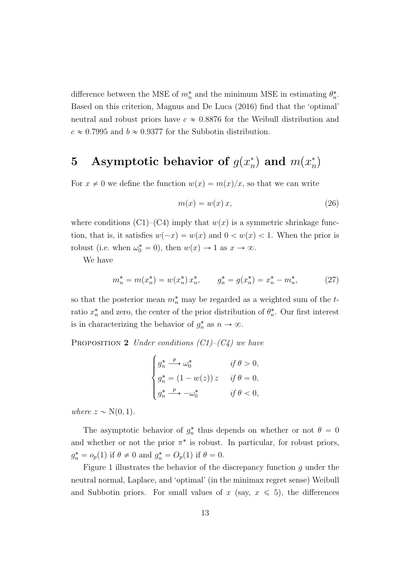difference between the MSE of  $m_n^*$  and the minimum MSE in estimating  $\theta_n^*$ . Based on this criterion, Magnus and De Luca (2016) find that the 'optimal' neutral and robust priors have  $c \approx 0.8876$  for the Weibull distribution and  $c \approx 0.7995$  and  $b \approx 0.9377$  for the Subbotin distribution.

#### 5 Asymptotic behavior of  $g(x_n^*)$  $\binom{*}{n}$  and  $m(x_n^*)$  $\binom{n}{n}$

For  $x \neq 0$  we define the function  $w(x) = m(x)/x$ , so that we can write

$$
m(x) = w(x)x,
$$
\n(26)

where conditions  $(C1)$ – $(C4)$  imply that  $w(x)$  is a symmetric shrinkage function, that is, it satisfies  $w(-x) = w(x)$  and  $0 < w(x) < 1$ . When the prior is robust (i.e. when  $\omega_0^* = 0$ ), then  $w(x) \to 1$  as  $x \to \infty$ .

We have

$$
m_n^* = m(x_n^*) = w(x_n^*) x_n^*, \qquad g_n^* = g(x_n^*) = x_n^* - m_n^*, \tag{27}
$$

so that the posterior mean  $m_n^*$  may be regarded as a weighted sum of the tratio  $x_n^*$  and zero, the center of the prior distribution of  $\theta_n^*$ . Our first interest is in characterizing the behavior of  $g_n^*$  as  $n \to \infty$ .

PROPOSITION 2 Under conditions  $(C1)$ – $(C4)$  we have

$$
\begin{cases}\ng_n^* \xrightarrow{p} \omega_0^* & \text{if } \theta > 0, \\
g_n^* = (1 - w(z)) \, z & \text{if } \theta = 0, \\
g_n^* \xrightarrow{p} -\omega_0^* & \text{if } \theta < 0,\n\end{cases}
$$

where  $z \sim N(0, 1)$ .

The asymptotic behavior of  $g_n^*$  thus depends on whether or not  $\theta = 0$ and whether or not the prior  $\pi^*$  is robust. In particular, for robust priors,  $g_n^* = o_p(1)$  if  $\theta \neq 0$  and  $g_n^* = O_p(1)$  if  $\theta = 0$ .

Figure 1 illustrates the behavior of the discrepancy function  $g$  under the neutral normal, Laplace, and 'optimal' (in the minimax regret sense) Weibull and Subbotin priors. For small values of  $x$  (say,  $x \leq 5$ ), the differences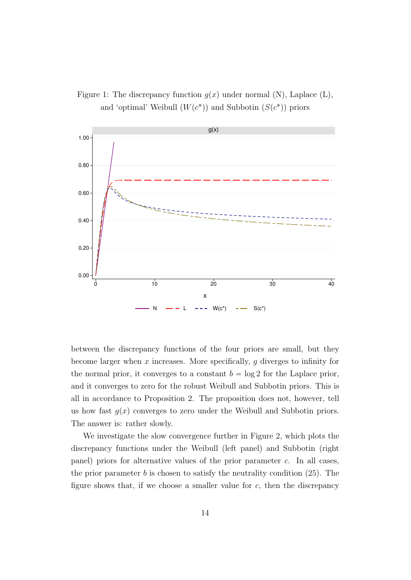Figure 1: The discrepancy function  $g(x)$  under normal (N), Laplace (L), and 'optimal' Weibull  $(W(c^*))$  and Subbotin  $(S(c^*))$  priors



between the discrepancy functions of the four priors are small, but they become larger when  $x$  increases. More specifically,  $g$  diverges to infinity for the normal prior, it converges to a constant  $b = \log 2$  for the Laplace prior, and it converges to zero for the robust Weibull and Subbotin priors. This is all in accordance to Proposition 2. The proposition does not, however, tell us how fast  $q(x)$  converges to zero under the Weibull and Subbotin priors. The answer is: rather slowly.

We investigate the slow convergence further in Figure 2, which plots the discrepancy functions under the Weibull (left panel) and Subbotin (right panel) priors for alternative values of the prior parameter c. In all cases, the prior parameter  $b$  is chosen to satisfy the neutrality condition (25). The figure shows that, if we choose a smaller value for  $c$ , then the discrepancy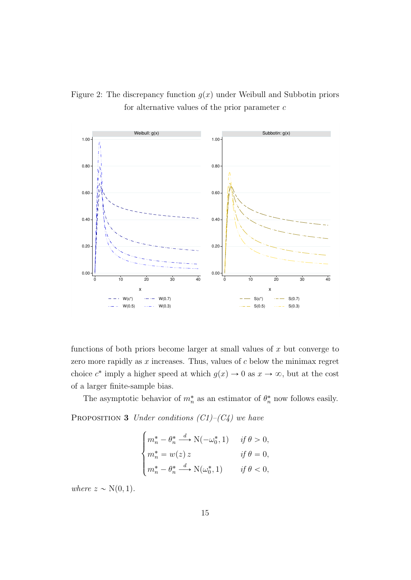Figure 2: The discrepancy function  $g(x)$  under Weibull and Subbotin priors for alternative values of the prior parameter  $c$ 



functions of both priors become larger at small values of  $x$  but converge to zero more rapidly as  $x$  increases. Thus, values of  $c$  below the minimax regret choice  $c^*$  imply a higher speed at which  $g(x) \to 0$  as  $x \to \infty$ , but at the cost of a larger finite-sample bias.

The asymptotic behavior of  $m_n^*$  as an estimator of  $\theta_n^*$  now follows easily. PROPOSITION 3 Under conditions  $(C1)$ – $(C4)$  we have

$$
\begin{cases}\nm_n^* - \theta_n^* \xrightarrow{d} \mathcal{N}(-\omega_0^*, 1) & \text{if } \theta > 0, \\
m_n^* = w(z) \, z & \text{if } \theta = 0, \\
m_n^* - \theta_n^* \xrightarrow{d} \mathcal{N}(\omega_0^*, 1) & \text{if } \theta < 0,\n\end{cases}
$$

where  $z \sim N(0, 1)$ .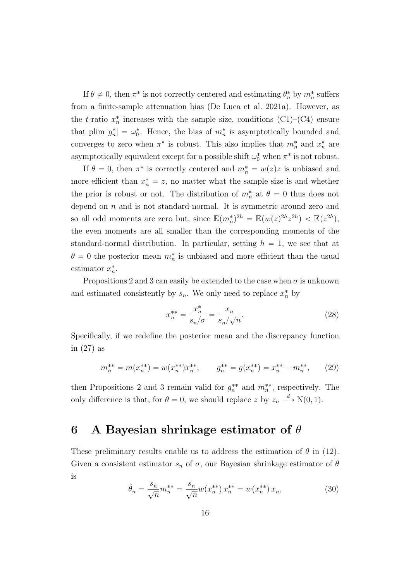If  $\theta \neq 0$ , then  $\pi^*$  is not correctly centered and estimating  $\theta_n^*$  by  $m_n^*$  suffers from a finite-sample attenuation bias (De Luca et al. 2021a). However, as the t-ratio  $x_n^*$  increases with the sample size, conditions (C1)–(C4) ensure that plim  $|g_n^*| = \omega_0^*$ . Hence, the bias of  $m_n^*$  is asymptotically bounded and converges to zero when  $\pi^*$  is robust. This also implies that  $m_n^*$  and  $x_n^*$  are asymptotically equivalent except for a possible shift  $\omega_0^*$  when  $\pi^*$  is not robust.

If  $\theta = 0$ , then  $\pi^*$  is correctly centered and  $m_n^* = w(z)z$  is unbiased and more efficient than  $x_n^* = z$ , no matter what the sample size is and whether the prior is robust or not. The distribution of  $m_n^*$  at  $\theta = 0$  thus does not depend on  $n$  and is not standard-normal. It is symmetric around zero and so all odd moments are zero but, since  $\mathbb{E}(m_n^*)^{2h} = \mathbb{E}(w(z)^{2h}z^{2h}) < \mathbb{E}(z^{2h}),$ the even moments are all smaller than the corresponding moments of the standard-normal distribution. In particular, setting  $h = 1$ , we see that at  $\theta = 0$  the posterior mean  $m_n^*$  is unbiased and more efficient than the usual estimator  $x_n^*$ .

Propositions 2 and 3 can easily be extended to the case when  $\sigma$  is unknown and estimated consistently by  $s_n$ . We only need to replace  $x_n^*$  by

$$
x_n^{**} = \frac{x_n^*}{s_n/\sigma} = \frac{x_n}{s_n/\sqrt{n}}.\tag{28}
$$

Specifically, if we redefine the posterior mean and the discrepancy function in (27) as

$$
m_n^{**} = m(x_n^{**}) = w(x_n^{**})x_n^{**}, \qquad g_n^{**} = g(x_n^{**}) = x_n^{**} - m_n^{**}, \qquad (29)
$$

then Propositions 2 and 3 remain valid for  $g_n^{**}$  and  $m_n^{**}$ , respectively. The only difference is that, for  $\theta = 0$ , we should replace z by  $z_n \stackrel{d}{\longrightarrow} N(0, 1)$ .

### 6 A Bayesian shrinkage estimator of  $\theta$

These preliminary results enable us to address the estimation of  $\theta$  in (12). Given a consistent estimator  $s_n$  of  $\sigma$ , our Bayesian shrinkage estimator of  $\theta$ is

$$
\hat{\theta}_n = \frac{s_n}{\sqrt{n}} m_n^{**} = \frac{s_n}{\sqrt{n}} w(x_n^{**}) x_n^{**} = w(x_n^{**}) x_n,
$$
\n(30)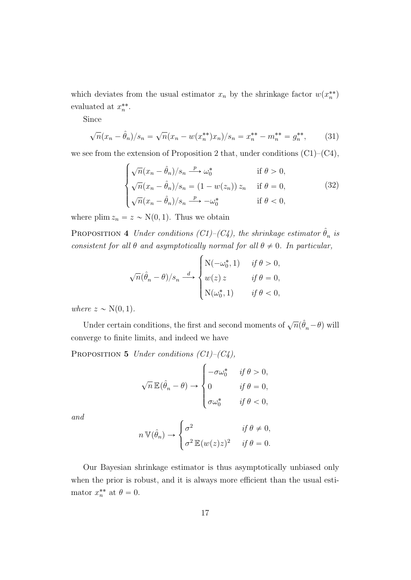which deviates from the usual estimator  $x_n$  by the shrinkage factor  $w(x_n^{**})$ evaluated at  $x_n^{**}$ .

Since

$$
\sqrt{n}(x_n - \hat{\theta}_n)/s_n = \sqrt{n}(x_n - w(x_n^{**})x_n)/s_n = x_n^{**} - m_n^{**} = g_n^{**},
$$
 (31)

we see from the extension of Proposition 2 that, under conditions  $(C1)$ – $(C4)$ ,  $\ddot{\phantom{0}}$ 

$$
\begin{cases}\n\sqrt{n}(x_n - \hat{\theta}_n)/s_n \xrightarrow{p} \omega_0^* & \text{if } \theta > 0, \\
\sqrt{n}(x_n - \hat{\theta}_n)/s_n = (1 - w(z_n)) z_n & \text{if } \theta = 0, \\
\sqrt{n}(x_n - \hat{\theta}_n)/s_n \xrightarrow{p} -\omega_0^* & \text{if } \theta < 0,\n\end{cases}
$$
\n(32)

where plim  $z_n = z \sim N(0, 1)$ . Thus we obtain

PROPOSITION 4 Under conditions  $(C1)$ - $(C4)$ , the shrinkage estimator  $\hat{\theta}_n$  is consistent for all  $\theta$  and asymptotically normal for all  $\theta \neq 0$ . In particular,

$$
\sqrt{n}(\hat{\theta}_n - \theta)/s_n \xrightarrow{d} \begin{cases} \mathcal{N}(-\omega_0^*, 1) & \text{if } \theta > 0, \\ w(z) z & \text{if } \theta = 0, \\ \mathcal{N}(\omega_0^*, 1) & \text{if } \theta < 0, \end{cases}
$$

where  $z \sim N(0, 1)$ .

Under certain conditions, the first and second moments of  $\sqrt{n}(\hat{\theta}_n - \theta)$  will converge to finite limits, and indeed we have

PROPOSITION 5 Under conditions  $(C1)$ – $(C4)$ ,  $\ddot{\phantom{0}}$ 

$$
\sqrt{n} \mathbb{E}(\hat{\theta}_n - \theta) \to \begin{cases}\n-\sigma \omega_0^* & \text{if } \theta > 0, \\
0 & \text{if } \theta = 0, \\
\sigma \omega_0^* & \text{if } \theta < 0,\n\end{cases}
$$

and

$$
n \, \mathbb{V}(\hat{\theta}_n) \to \begin{cases} \sigma^2 & \text{if } \theta \neq 0, \\ \sigma^2 \, \mathbb{E}(w(z)z)^2 & \text{if } \theta = 0. \end{cases}
$$

Our Bayesian shrinkage estimator is thus asymptotically unbiased only when the prior is robust, and it is always more efficient than the usual estimator  $x_n^{**}$  at  $\theta = 0$ .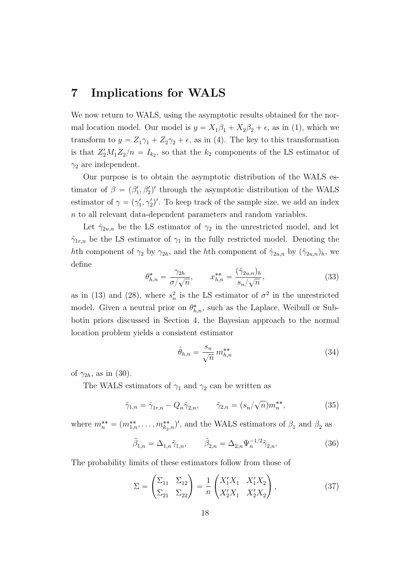### 7 Implications for WALS

We now return to WALS, using the asymptotic results obtained for the normal location model. Our model is  $y = X_1 \beta_1 + X_2 \beta_2 + \epsilon$ , as in (1), which we transform to  $y = Z_1 \gamma_1 + Z_2 \gamma_2 + \epsilon$ , as in (4). The key to this transformation is that  $Z_2'M_1Z_2/n = I_{k_2}$ , so that the  $k_2$  components of the LS estimator of  $\gamma_2$  are independent.

Our purpose is to obtain the asymptotic distribution of the WALS estimator of  $\beta = (\beta_1', \beta_2')'$  through the asymptotic distribution of the WALS estimator of  $\gamma = (\gamma_1', \gamma_2')'$ . To keep track of the sample size, we add an index n to all relevant data-dependent parameters and random variables.

Let  $\hat{\gamma}_{2u,n}$  be the LS estimator of  $\gamma_2$  in the unrestricted model, and let  $\hat{\gamma}_{1r,n}$  be the LS estimator of  $\gamma_1$  in the fully restricted model. Denoting the hth component of  $\gamma_2$  by  $\gamma_{2h}$ , and the hth component of  $\hat{\gamma}_{2u,n}$  by  $(\hat{\gamma}_{2u,n})_h$ , we define

$$
\theta_{h,n}^* = \frac{\gamma_{2h}}{\sigma/\sqrt{n}}, \qquad x_{h,n}^{**} = \frac{(\hat{\gamma}_{2u,n})_h}{s_n/\sqrt{n}}, \tag{33}
$$

as in (13) and (28), where  $s_n^2$  is the LS estimator of  $\sigma^2$  in the unrestricted model. Given a neutral prior on  $\theta_{h,n}^*$ , such as the Laplace, Weibull or Subbotin priors discussed in Section 4, the Bayesian approach to the normal location problem yields a consistent estimator

$$
\hat{\theta}_{h,n} = \frac{s_n}{\sqrt{n}} m_{h,n}^{**} \tag{34}
$$

of  $\gamma_{2h}$ , as in (30).

The WALS estimators of  $\gamma_1$  and  $\gamma_2$  can be written as

$$
\tilde{\gamma}_{1,n} = \hat{\gamma}_{1r,n} - Q_n \tilde{\gamma}_{2,n}, \qquad \tilde{\gamma}_{2,n} = (s_n/\sqrt{n}) m_n^{**}, \qquad (35)
$$

where  $m_n^{**} = (m_{1,n}^{**}, \ldots, m_{k_2,n}^{**})'$ , and the WALS estimators of  $\beta_1$  and  $\beta_2$  as

$$
\tilde{\beta}_{1,n} = \Delta_{1,n} \tilde{\gamma}_{1,n}, \qquad \tilde{\beta}_{2,n} = \Delta_{2,n} \Psi_n^{-1/2} \tilde{\gamma}_{2,n}.
$$
 (36)

The probability limits of these estimators follow from those of ˜ ˜ ¸

$$
\Sigma = \begin{pmatrix} \Sigma_{11} & \Sigma_{12} \\ \Sigma_{21} & \Sigma_{22} \end{pmatrix} = \frac{1}{n} \begin{pmatrix} X_1' X_1 & X_1' X_2 \\ X_2' X_1 & X_2' X_2 \end{pmatrix},
$$
(37)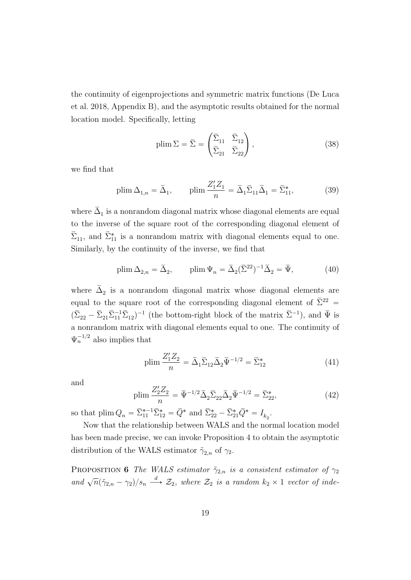the continuity of eigenprojections and symmetric matrix functions (De Luca et al. 2018, Appendix B), and the asymptotic results obtained for the normal location model. Specifically, letting

$$
\text{plim}\,\Sigma = \bar{\Sigma} = \begin{pmatrix} \bar{\Sigma}_{11} & \bar{\Sigma}_{12} \\ \bar{\Sigma}_{21} & \bar{\Sigma}_{22} \end{pmatrix},\tag{38}
$$

we find that

$$
\text{plim}\,\Delta_{1,n} = \bar{\Delta}_1, \qquad \text{plim}\,\frac{Z_1'Z_1}{n} = \bar{\Delta}_1\bar{\Sigma}_{11}\bar{\Delta}_1 = \bar{\Sigma}_{11}^*,\tag{39}
$$

where  $\bar{\Delta}_1$  is a nonrandom diagonal matrix whose diagonal elements are equal to the inverse of the square root of the corresponding diagonal element of  $\bar{\Sigma}_{11}$ , and  $\bar{\Sigma}_{11}^{*}$  is a nonrandom matrix with diagonal elements equal to one. Similarly, by the continuity of the inverse, we find that

$$
\text{plim}\,\Delta_{2,n} = \bar{\Delta}_2, \qquad \text{plim}\,\Psi_n = \bar{\Delta}_2(\bar{\Sigma}^{22})^{-1}\bar{\Delta}_2 = \bar{\Psi}, \tag{40}
$$

where  $\bar{\Delta}_2$  is a nonrandom diagonal matrix whose diagonal elements are equal to the square root of the corresponding diagonal element of  $\bar{\Sigma}^{22}$  =  $(\bar{\Sigma}_{22} - \bar{\Sigma}_{21} \bar{\Sigma}_{11}^{-1} \bar{\Sigma}_{12})^{-1}$  (the bottom-right block of the matrix  $\bar{\Sigma}^{-1}$ ), and  $\bar{\Psi}$  is a nonrandom matrix with diagonal elements equal to one. The continuity of  $\Psi_n^{-1/2}$  also implies that

plim 
$$
\frac{Z_1' Z_2}{n} = \bar{\Delta}_1 \bar{\Sigma}_{12} \bar{\Delta}_2 \bar{\Psi}^{-1/2} = \bar{\Sigma}_{12}^*
$$
 (41)

and

$$
\text{plim}\,\frac{Z_2'Z_2}{n} = \bar{\Psi}^{-1/2}\bar{\Delta}_2\bar{\Sigma}_{22}\bar{\Delta}_2\bar{\Psi}^{-1/2} = \bar{\Sigma}_{22}^*,\tag{42}
$$

so that  $\lim_{n} Q_n = \overline{\Sigma}_{11}^{*-1} \overline{\Sigma}_{12}^* = \overline{Q}^*$  and  $\overline{\Sigma}_{22}^* - \overline{\Sigma}_{21}^* \overline{Q}^* = I_{k_2}$ .

Now that the relationship between WALS and the normal location model has been made precise, we can invoke Proposition 4 to obtain the asymptotic distribution of the WALS estimator  $\tilde{\gamma}_{2,n}$  of  $\gamma_2$ .

PROPOSITION 6 The WALS estimator  $\tilde{\gamma}_{2,n}$  is a consistent estimator of  $\gamma_2$ and  $\sqrt{n}(\tilde{\gamma}_{2,n} - \gamma_2)/s_n \stackrel{d}{\longrightarrow} \mathcal{Z}_2$ , where  $\mathcal{Z}_2$  is a random  $k_2 \times 1$  vector of inde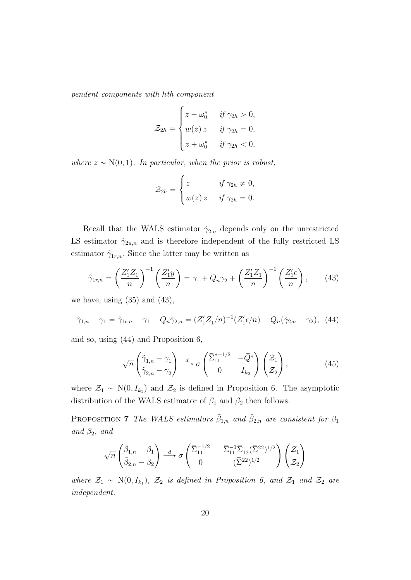pendent components with hth component **\$100 million** 

$$
\mathcal{Z}_{2h} = \begin{cases} z - \omega_0^* & \text{if } \gamma_{2h} > 0, \\ w(z) z & \text{if } \gamma_{2h} = 0, \\ z + \omega_0^* & \text{if } \gamma_{2h} < 0, \end{cases}
$$

where  $z \sim N(0, 1)$ . In particular, when the prior is robust,

$$
\mathcal{Z}_{2h} = \begin{cases} z & \text{if } \gamma_{2h} \neq 0, \\ w(z) z & \text{if } \gamma_{2h} = 0. \end{cases}
$$

Recall that the WALS estimator  $\tilde{\gamma}_{2,n}$  depends only on the unrestricted LS estimator  $\hat{\gamma}_{2u,n}$  and is therefore independent of the fully restricted LS estimator  $\hat{\gamma}_{1r,n}$ . Since the latter may be written as

$$
\hat{\gamma}_{1r,n} = \left(\frac{Z_1'Z_1}{n}\right)^{-1} \left(\frac{Z_1'y}{n}\right) = \gamma_1 + Q_n\gamma_2 + \left(\frac{Z_1'Z_1}{n}\right)^{-1} \left(\frac{Z_1'\epsilon}{n}\right),\tag{43}
$$

we have, using (35) and (43),

$$
\tilde{\gamma}_{1,n} - \gamma_1 = \hat{\gamma}_{1r,n} - \gamma_1 - Q_n \tilde{\gamma}_{2,n} = (Z_1' Z_1/n)^{-1} (Z_1' \epsilon/n) - Q_n(\tilde{\gamma}_{2,n} - \gamma_2), \tag{44}
$$

and so, using (44) and Proposition 6,

$$
\sqrt{n}\begin{pmatrix} \tilde{\gamma}_{1,n} - \gamma_1 \\ \tilde{\gamma}_{2,n} - \gamma_2 \end{pmatrix} \stackrel{d}{\longrightarrow} \sigma \begin{pmatrix} \bar{\Sigma}_{11}^{*-1/2} & -\bar{Q}^* \\ 0 & I_{k_2} \end{pmatrix} \begin{pmatrix} \mathcal{Z}_1 \\ \mathcal{Z}_2 \end{pmatrix},
$$
(45)

where  $\mathcal{Z}_1 \sim N(0, I_{k_1})$  and  $\mathcal{Z}_2$  is defined in Proposition 6. The asymptotic distribution of the WALS estimator of  $\beta_1$  and  $\beta_2$  then follows.

PROPOSITION 7 The WALS estimators  $\tilde{\beta}_{1,n}$  and  $\tilde{\beta}_{2,n}$  are consistent for  $\beta_1$ and  $\beta_2$ , and

$$
\sqrt{n}\begin{pmatrix}\tilde{\beta}_{1,n}-\beta_1\\ \tilde{\beta}_{2,n}-\beta_2\end{pmatrix} \stackrel{d}{\longrightarrow} \sigma\begin{pmatrix}\overline{\Sigma}_{11}^{-1/2} & -\overline{\Sigma}_{11}^{-1}\overline{\Sigma}_{12}(\overline{\Sigma}^{22})^{1/2}\\ 0 & (\overline{\Sigma}^{22})^{1/2}\end{pmatrix}\begin{pmatrix}\mathcal{Z}_1\\ \mathcal{Z}_2\end{pmatrix}
$$

where  $\mathcal{Z}_1 \sim \text{N}(0, I_{k_1})$ ,  $\mathcal{Z}_2$  is defined in Proposition 6, and  $\mathcal{Z}_1$  and  $\mathcal{Z}_2$  are independent.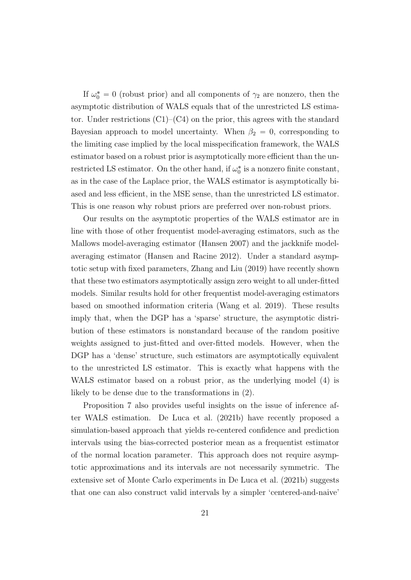If  $\omega_0^* = 0$  (robust prior) and all components of  $\gamma_2$  are nonzero, then the asymptotic distribution of WALS equals that of the unrestricted LS estimator. Under restrictions  $(C1)$ – $(C4)$  on the prior, this agrees with the standard Bayesian approach to model uncertainty. When  $\beta_2 = 0$ , corresponding to the limiting case implied by the local misspecification framework, the WALS estimator based on a robust prior is asymptotically more efficient than the unrestricted LS estimator. On the other hand, if  $\omega_0^*$  is a nonzero finite constant, as in the case of the Laplace prior, the WALS estimator is asymptotically biased and less efficient, in the MSE sense, than the unrestricted LS estimator. This is one reason why robust priors are preferred over non-robust priors.

Our results on the asymptotic properties of the WALS estimator are in line with those of other frequentist model-averaging estimators, such as the Mallows model-averaging estimator (Hansen 2007) and the jackknife modelaveraging estimator (Hansen and Racine 2012). Under a standard asymptotic setup with fixed parameters, Zhang and Liu (2019) have recently shown that these two estimators asymptotically assign zero weight to all under-fitted models. Similar results hold for other frequentist model-averaging estimators based on smoothed information criteria (Wang et al. 2019). These results imply that, when the DGP has a 'sparse' structure, the asymptotic distribution of these estimators is nonstandard because of the random positive weights assigned to just-fitted and over-fitted models. However, when the DGP has a 'dense' structure, such estimators are asymptotically equivalent to the unrestricted LS estimator. This is exactly what happens with the WALS estimator based on a robust prior, as the underlying model (4) is likely to be dense due to the transformations in (2).

Proposition 7 also provides useful insights on the issue of inference after WALS estimation. De Luca et al. (2021b) have recently proposed a simulation-based approach that yields re-centered confidence and prediction intervals using the bias-corrected posterior mean as a frequentist estimator of the normal location parameter. This approach does not require asymptotic approximations and its intervals are not necessarily symmetric. The extensive set of Monte Carlo experiments in De Luca et al. (2021b) suggests that one can also construct valid intervals by a simpler 'centered-and-naive'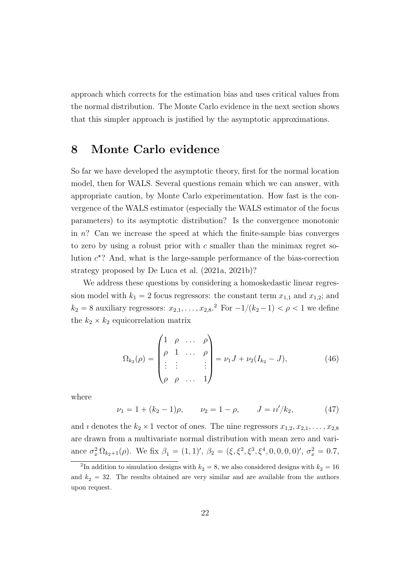approach which corrects for the estimation bias and uses critical values from the normal distribution. The Monte Carlo evidence in the next section shows that this simpler approach is justified by the asymptotic approximations.

### 8 Monte Carlo evidence

So far we have developed the asymptotic theory, first for the normal location model, then for WALS. Several questions remain which we can answer, with appropriate caution, by Monte Carlo experimentation. How fast is the convergence of the WALS estimator (especially the WALS estimator of the focus parameters) to its asymptotic distribution? Is the convergence monotonic in  $n$ ? Can we increase the speed at which the finite-sample bias converges to zero by using a robust prior with  $c$  smaller than the minimax regret solution  $c^*$ ? And, what is the large-sample performance of the bias-correction strategy proposed by De Luca et al. (2021a, 2021b)?

We address these questions by considering a homoskedastic linear regression model with  $k_1 = 2$  focus regressors: the constant term  $x_{1,1}$  and  $x_{1,2}$ ; and  $k_2 = 8$  auxiliary regressors:  $x_{2,1}, \ldots, x_{2,8}.^2$  For  $-1/(k_2-1) < \rho < 1$  we define the  $k_2 \times k_2$  equicorrelation matrix

$$
\Omega_{k_2}(\rho) = \begin{pmatrix} 1 & \rho & \dots & \rho \\ \rho & 1 & \dots & \rho \\ \vdots & \vdots & & \vdots \\ \rho & \rho & \dots & 1 \end{pmatrix} = \nu_1 J + \nu_2 (I_{k_2} - J), \tag{46}
$$

where

$$
\nu_1 = 1 + (k_2 - 1)\rho, \qquad \nu_2 = 1 - \rho, \qquad J = u'/k_2,\tag{47}
$$

and *i* denotes the  $k_2 \times 1$  vector of ones. The nine regressors  $x_{1,2}, x_{2,1}, \ldots, x_{2,8}$ are drawn from a multivariate normal distribution with mean zero and variance  $\sigma_x^2 \Omega_{k_2+1}(\rho)$ . We fix  $\beta_1 = (1, 1)'$ ,  $\beta_2 = (\xi, \xi^2, \xi^3, \xi^4, 0, 0, 0, 0)'$ ,  $\sigma_x^2 = 0.7$ ,

<sup>&</sup>lt;sup>2</sup>In addition to simulation designs with  $k_2 = 8$ , we also considered designs with  $k_2 = 16$ and  $k_2 = 32$ . The results obtained are very similar and are available from the authors upon request.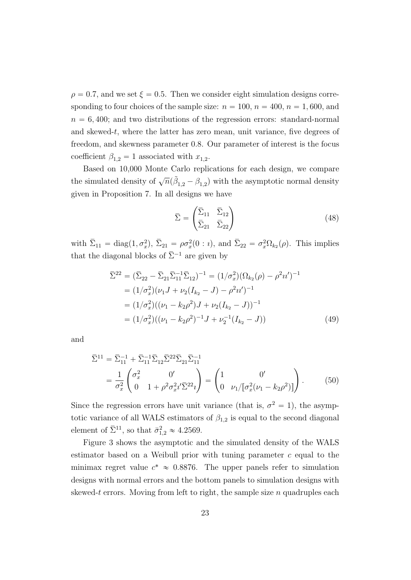$\rho = 0.7$ , and we set  $\xi = 0.5$ . Then we consider eight simulation designs corresponding to four choices of the sample size:  $n = 100$ ,  $n = 400$ ,  $n = 1,600$ , and  $n = 6, 400$ ; and two distributions of the regression errors: standard-normal and skewed-t, where the latter has zero mean, unit variance, five degrees of freedom, and skewness parameter 0.8. Our parameter of interest is the focus coefficient  $\beta_{1,2} = 1$  associated with  $x_{1,2}$ .

Based on 10,000 Monte Carlo replications for each design, we compare the simulated density of  $\sqrt{n}(\tilde{\beta}_{1,2} - \beta_{1,2})$  with the asymptotic normal density given in Proposition 7. In all designs we have

$$
\overline{\Sigma} = \begin{pmatrix} \overline{\Sigma}_{11} & \overline{\Sigma}_{12} \\ \overline{\Sigma}_{21} & \overline{\Sigma}_{22} \end{pmatrix}
$$
 (48)

with  $\bar{\Sigma}_{11} = \text{diag}(1, \sigma_x^2), \ \bar{\Sigma}_{21} = \rho \sigma_x^2(0 : i), \text{ and } \bar{\Sigma}_{22} = \sigma_x^2 \Omega_{k_2}(\rho).$  This implies that the diagonal blocks of  $\overline{\Sigma}^{-1}$  are given by

$$
\begin{split} \bar{\Sigma}^{22} &= (\bar{\Sigma}_{22} - \bar{\Sigma}_{21} \bar{\Sigma}_{11}^{-1} \bar{\Sigma}_{12})^{-1} = (1/\sigma_x^2)(\Omega_{k_2}(\rho) - \rho^2 u')^{-1} \\ &= (1/\sigma_x^2)(\nu_1 J + \nu_2 (I_{k_2} - J) - \rho^2 u')^{-1} \\ &= (1/\sigma_x^2)((\nu_1 - k_2 \rho^2) J + \nu_2 (I_{k_2} - J))^{-1} \\ &= (1/\sigma_x^2)((\nu_1 - k_2 \rho^2)^{-1} J + \nu_2^{-1} (I_{k_2} - J)) \end{split} \tag{49}
$$

and

$$
\bar{\Sigma}^{11} = \bar{\Sigma}_{11}^{-1} + \bar{\Sigma}_{11}^{-1} \bar{\Sigma}_{12} \bar{\Sigma}^{22} \bar{\Sigma}_{21} \bar{\Sigma}_{11}^{-1} \n= \frac{1}{\sigma_x^2} \begin{pmatrix} \sigma_x^2 & 0' \\ 0 & 1 + \rho^2 \sigma_x^2 i' \bar{\Sigma}^{22} i \end{pmatrix} = \begin{pmatrix} 1 & 0' \\ 0 & \nu_1 / [\sigma_x^2 (\nu_1 - k_2 \rho^2)] \end{pmatrix}.
$$
\n(50)

Since the regression errors have unit variance (that is,  $\sigma^2 = 1$ ), the asymptotic variance of all WALS estimators of  $\beta_{1,2}$  is equal to the second diagonal element of  $\bar{\Sigma}^{11}$ , so that  $\bar{\sigma}_{1,2}^2 \approx 4.2569$ .

Figure 3 shows the asymptotic and the simulated density of the WALS estimator based on a Weibull prior with tuning parameter  $c$  equal to the minimax regret value  $c^* \approx 0.8876$ . The upper panels refer to simulation designs with normal errors and the bottom panels to simulation designs with skewed-t errors. Moving from left to right, the sample size n quadruples each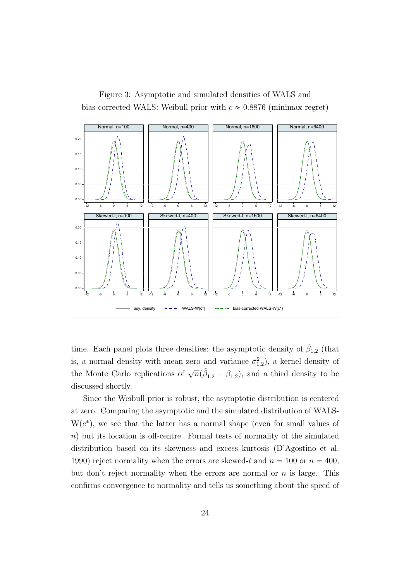Figure 3: Asymptotic and simulated densities of WALS and bias-corrected WALS: Weibull prior with  $c \approx 0.8876$  (minimax regret)



time. Each panel plots three densities: the asymptotic density of  $\tilde{\beta}_{1,2}$  (that is, a normal density with mean zero and variance  $\bar{\sigma}_{1,2}^2$ , a kernel density of the Monte Carlo replications of  $\sqrt{n}(\tilde{\beta}_{1,2} - \beta_{1,2})$ , and a third density to be discussed shortly.

Since the Weibull prior is robust, the asymptotic distribution is centered at zero. Comparing the asymptotic and the simulated distribution of WALS- $W(c^*)$ , we see that the latter has a normal shape (even for small values of  $n$ ) but its location is off-centre. Formal tests of normality of the simulated distribution based on its skewness and excess kurtosis (D'Agostino et al. 1990) reject normality when the errors are skewed-t and  $n = 100$  or  $n = 400$ , but don't reject normality when the errors are normal or  $n$  is large. This confirms convergence to normality and tells us something about the speed of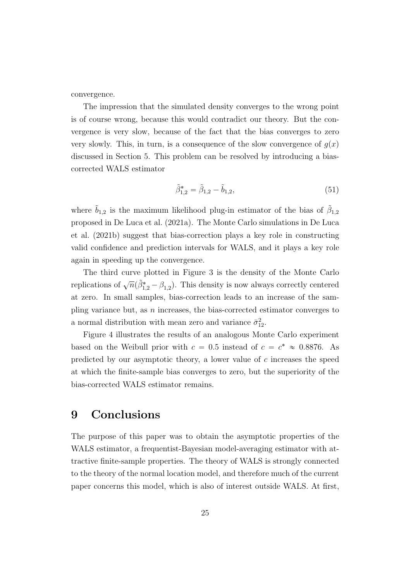convergence.

The impression that the simulated density converges to the wrong point is of course wrong, because this would contradict our theory. But the convergence is very slow, because of the fact that the bias converges to zero very slowly. This, in turn, is a consequence of the slow convergence of  $g(x)$ discussed in Section 5. This problem can be resolved by introducing a biascorrected WALS estimator

$$
\tilde{\beta}_{1,2}^* = \tilde{\beta}_{1,2} - \tilde{b}_{1,2},\tag{51}
$$

where  $\tilde{b}_{1,2}$  is the maximum likelihood plug-in estimator of the bias of  $\tilde{\beta}_{1,2}$ proposed in De Luca et al. (2021a). The Monte Carlo simulations in De Luca et al. (2021b) suggest that bias-correction plays a key role in constructing valid confidence and prediction intervals for WALS, and it plays a key role again in speeding up the convergence.

The third curve plotted in Figure 3 is the density of the Monte Carlo replications of  $\sqrt{n}(\tilde{\beta}_{1,2}^* - \beta_{1,2})$ . This density is now always correctly centered at zero. In small samples, bias-correction leads to an increase of the sampling variance but, as  $n$  increases, the bias-corrected estimator converges to a normal distribution with mean zero and variance  $\bar{\sigma}_{12}^2$ .

Figure 4 illustrates the results of an analogous Monte Carlo experiment based on the Weibull prior with  $c = 0.5$  instead of  $c = c^* \approx 0.8876$ . As predicted by our asymptotic theory, a lower value of  $c$  increases the speed at which the finite-sample bias converges to zero, but the superiority of the bias-corrected WALS estimator remains.

### 9 Conclusions

The purpose of this paper was to obtain the asymptotic properties of the WALS estimator, a frequentist-Bayesian model-averaging estimator with attractive finite-sample properties. The theory of WALS is strongly connected to the theory of the normal location model, and therefore much of the current paper concerns this model, which is also of interest outside WALS. At first,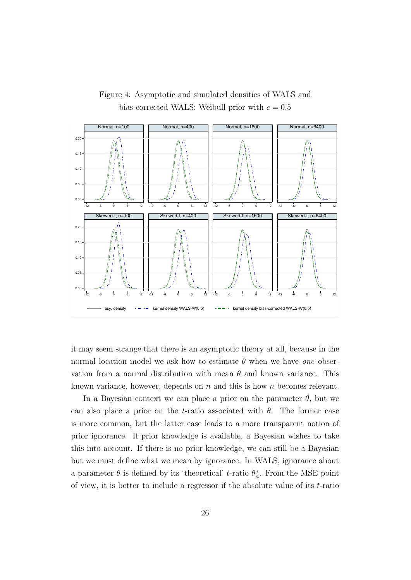

Figure 4: Asymptotic and simulated densities of WALS and bias-corrected WALS: Weibull prior with  $c = 0.5$ 

it may seem strange that there is an asymptotic theory at all, because in the normal location model we ask how to estimate  $\theta$  when we have one observation from a normal distribution with mean  $\theta$  and known variance. This known variance, however, depends on n and this is how n becomes relevant.

In a Bayesian context we can place a prior on the parameter  $\theta$ , but we can also place a prior on the t-ratio associated with  $\theta$ . The former case is more common, but the latter case leads to a more transparent notion of prior ignorance. If prior knowledge is available, a Bayesian wishes to take this into account. If there is no prior knowledge, we can still be a Bayesian but we must define what we mean by ignorance. In WALS, ignorance about a parameter  $\theta$  is defined by its 'theoretical' t-ratio  $\theta_n^*$ . From the MSE point of view, it is better to include a regressor if the absolute value of its t-ratio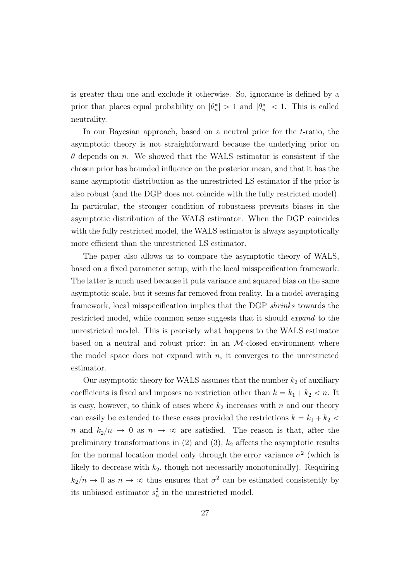is greater than one and exclude it otherwise. So, ignorance is defined by a prior that places equal probability on  $|\theta_n^*| > 1$  and  $|\theta_n^*| < 1$ . This is called neutrality.

In our Bayesian approach, based on a neutral prior for the t-ratio, the asymptotic theory is not straightforward because the underlying prior on  $\theta$  depends on n. We showed that the WALS estimator is consistent if the chosen prior has bounded influence on the posterior mean, and that it has the same asymptotic distribution as the unrestricted LS estimator if the prior is also robust (and the DGP does not coincide with the fully restricted model). In particular, the stronger condition of robustness prevents biases in the asymptotic distribution of the WALS estimator. When the DGP coincides with the fully restricted model, the WALS estimator is always asymptotically more efficient than the unrestricted LS estimator.

The paper also allows us to compare the asymptotic theory of WALS, based on a fixed parameter setup, with the local misspecification framework. The latter is much used because it puts variance and squared bias on the same asymptotic scale, but it seems far removed from reality. In a model-averaging framework, local misspecification implies that the DGP shrinks towards the restricted model, while common sense suggests that it should expand to the unrestricted model. This is precisely what happens to the WALS estimator based on a neutral and robust prior: in an  $M$ -closed environment where the model space does not expand with  $n$ , it converges to the unrestricted estimator.

Our asymptotic theory for WALS assumes that the number  $k_2$  of auxiliary coefficients is fixed and imposes no restriction other than  $k = k_1 + k_2 < n$ . It is easy, however, to think of cases where  $k_2$  increases with n and our theory can easily be extended to these cases provided the restrictions  $k = k_1 + k_2$ n and  $k_2/n \to 0$  as  $n \to \infty$  are satisfied. The reason is that, after the preliminary transformations in  $(2)$  and  $(3)$ ,  $k_2$  affects the asymptotic results for the normal location model only through the error variance  $\sigma^2$  (which is likely to decrease with  $k_2$ , though not necessarily monotonically). Requiring  $k_2/n \to 0$  as  $n \to \infty$  thus ensures that  $\sigma^2$  can be estimated consistently by its unbiased estimator  $s_n^2$  in the unrestricted model.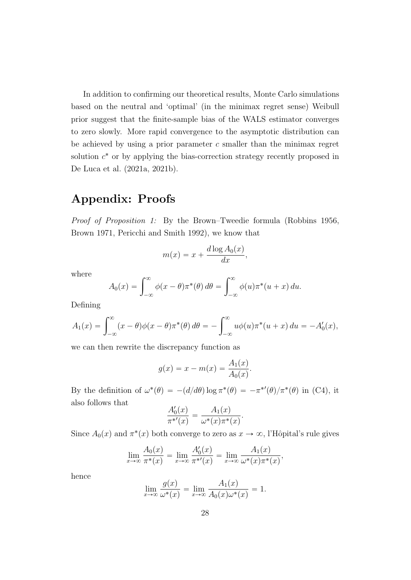In addition to confirming our theoretical results, Monte Carlo simulations based on the neutral and 'optimal' (in the minimax regret sense) Weibull prior suggest that the finite-sample bias of the WALS estimator converges to zero slowly. More rapid convergence to the asymptotic distribution can be achieved by using a prior parameter  $c$  smaller than the minimax regret solution  $c^*$  or by applying the bias-correction strategy recently proposed in De Luca et al. (2021a, 2021b).

### Appendix: Proofs

Proof of Proposition 1: By the Brown–Tweedie formula (Robbins 1956, Brown 1971, Pericchi and Smith 1992), we know that

$$
m(x) = x + \frac{d \log A_0(x)}{dx},
$$

where

$$
A_0(x) = \int_{-\infty}^{\infty} \phi(x - \theta) \pi^*(\theta) d\theta = \int_{-\infty}^{\infty} \phi(u) \pi^*(u + x) du.
$$

Defining

$$
A_1(x) = \int_{-\infty}^{\infty} (x - \theta) \phi(x - \theta) \pi^*(\theta) d\theta = -\int_{-\infty}^{\infty} u \phi(u) \pi^*(u + x) du = -A'_0(x),
$$

we can then rewrite the discrepancy function as

$$
g(x) = x - m(x) = \frac{A_1(x)}{A_0(x)}.
$$

By the definition of  $\omega^*(\theta) = -(d/d\theta)\log \pi^*(\theta) = -\pi^{*'}(\theta)/\pi^*(\theta)$  in (C4), it also follows that

$$
\frac{A'_0(x)}{\pi^{*'}(x)} = \frac{A_1(x)}{\omega^*(x)\pi^*(x)}.
$$

Since  $A_0(x)$  and  $\pi^*(x)$  both converge to zero as  $x \to \infty$ , l'Hôpital's rule gives

$$
\lim_{x \to \infty} \frac{A_0(x)}{\pi^*(x)} = \lim_{x \to \infty} \frac{A'_0(x)}{\pi^{*'}(x)} = \lim_{x \to \infty} \frac{A_1(x)}{\omega^*(x)\pi^*(x)},
$$

hence

$$
\lim_{x \to \infty} \frac{g(x)}{\omega^*(x)} = \lim_{x \to \infty} \frac{A_1(x)}{A_0(x)\omega^*(x)} = 1.
$$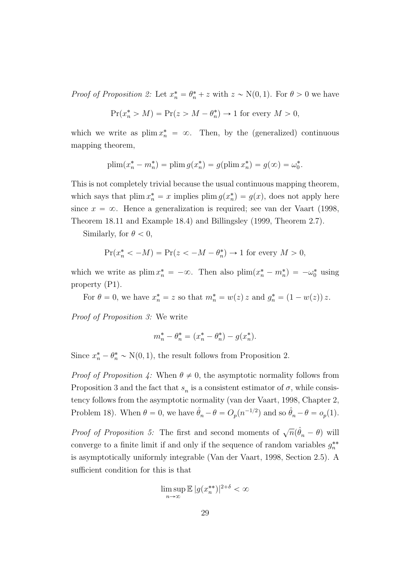*Proof of Proposition 2:* Let  $x_n^* = \theta_n^* + z$  with  $z \sim N(0, 1)$ . For  $\theta > 0$  we have

$$
Pr(x_n^* > M) = Pr(z > M - \theta_n^*) \to 1 \text{ for every } M > 0,
$$

which we write as  $\text{plim } x_n^* = \infty$ . Then, by the (generalized) continuous mapping theorem,

plim
$$
(x_n^* - m_n^*)
$$
 = plim $g(x_n^*) = g(\text{plim } x_n^*) = g(\infty) = \omega_0^*$ .

This is not completely trivial because the usual continuous mapping theorem, which says that plim  $x_n^* = x$  implies plim  $g(x_n^*) = g(x)$ , does not apply here since  $x = \infty$ . Hence a generalization is required; see van der Vaart (1998, Theorem 18.11 and Example 18.4) and Billingsley (1999, Theorem 2.7).

Similarly, for  $\theta < 0$ ,

$$
\Pr(x_n^* < -M) = \Pr(z < -M - \theta_n^*) \to 1 \text{ for every } M > 0,
$$

which we write as  $\text{plim } x_n^* = -\infty$ . Then also  $\text{plim}(x_n^* - m_n^*) = -\omega_0^*$  using property (P1).

For  $\theta = 0$ , we have  $x_n^* = z$  so that  $m_n^* = w(z) z$  and  $g_n^* = (1 - w(z)) z$ .

Proof of Proposition 3: We write

$$
m_n^* - \theta_n^* = (x_n^* - \theta_n^*) - g(x_n^*).
$$

Since  $x_n^* - \theta_n^* \sim N(0, 1)$ , the result follows from Proposition 2.

*Proof of Proposition 4:* When  $\theta \neq 0$ , the asymptotic normality follows from Proposition 3 and the fact that  $s_n$  is a consistent estimator of  $\sigma$ , while consistency follows from the asymptotic normality (van der Vaart, 1998, Chapter 2, Problem 18). When  $\theta = 0$ , we have  $\hat{\theta}_n - \theta = O_p(n^{-1/2})$  and so  $\hat{\theta}_n - \theta = o_p(1)$ .

*Proof of Proposition 5:* The first and second moments of  $\sqrt{n}(\hat{\theta}_n - \theta)$  will converge to a finite limit if and only if the sequence of random variables  $g_n^{**}$ is asymptotically uniformly integrable (Van der Vaart, 1998, Section 2.5). A sufficient condition for this is that

$$
\limsup_{n \to \infty} \mathbb{E} |g(x_n^{**})|^{2+\delta} < \infty
$$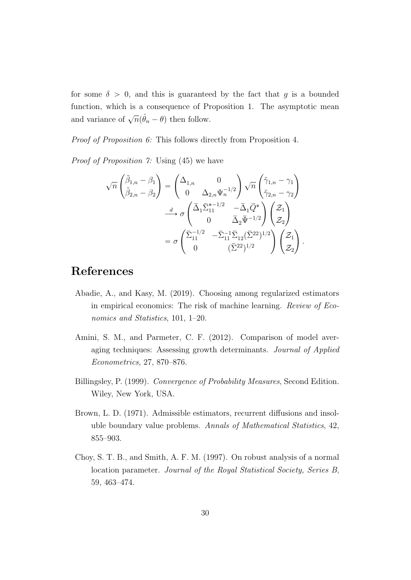for some  $\delta > 0$ , and this is guaranteed by the fact that g is a bounded function, which is a consequence of Proposition 1. The asymptotic mean and variance of  $\sqrt{n}(\hat{\theta}_n - \theta)$  then follow.

Proof of Proposition 6: This follows directly from Proposition 4.

Proof of Proposition 7: Using (45) we have

$$
\sqrt{n}\begin{pmatrix}\tilde{\beta}_{1,n}-\beta_{1}\\ \tilde{\beta}_{2,n}-\beta_{2}\end{pmatrix} = \begin{pmatrix}\Delta_{1,n} & 0\\ 0 & \Delta_{2,n}\Psi_{n}^{-1/2}\end{pmatrix}\sqrt{n}\begin{pmatrix}\tilde{\gamma}_{1,n}-\gamma_{1}\\ \tilde{\gamma}_{2,n}-\gamma_{2}\end{pmatrix}
$$

$$
\xrightarrow{d} \sigma\begin{pmatrix}\bar{\Delta}_{1}\bar{\Sigma}_{11}^{*-1/2} & -\bar{\Delta}_{1}\bar{Q}^{*}\\ 0 & \bar{\Delta}_{2}\bar{\Psi}^{-1/2}\end{pmatrix}\begin{pmatrix}\mathcal{Z}_{1}\\ \mathcal{Z}_{2}\end{pmatrix}
$$

$$
= \sigma\begin{pmatrix}\bar{\Sigma}_{11}^{-1/2} & -\bar{\Sigma}_{11}\bar{\Sigma}_{12}(\bar{\Sigma}^{22})^{1/2}\\ 0 & (\bar{\Sigma}^{22})^{1/2}\end{pmatrix}\begin{pmatrix}\mathcal{Z}_{1}\\ \mathcal{Z}_{2}\end{pmatrix}
$$

.

### References

- Abadie, A., and Kasy, M. (2019). Choosing among regularized estimators in empirical economics: The risk of machine learning. Review of Economics and Statistics, 101, 1–20.
- Amini, S. M., and Parmeter, C. F. (2012). Comparison of model averaging techniques: Assessing growth determinants. Journal of Applied Econometrics, 27, 870–876.
- Billingsley, P. (1999). Convergence of Probability Measures, Second Edition. Wiley, New York, USA.
- Brown, L. D. (1971). Admissible estimators, recurrent diffusions and insoluble boundary value problems. Annals of Mathematical Statistics, 42, 855–903.
- Choy, S. T. B., and Smith, A. F. M. (1997). On robust analysis of a normal location parameter. Journal of the Royal Statistical Society, Series B, 59, 463–474.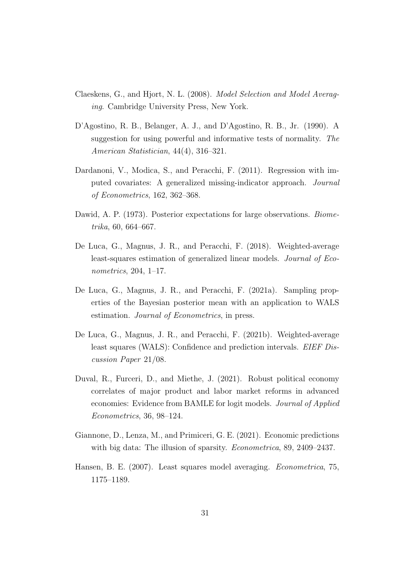- Claeskens, G., and Hjort, N. L. (2008). Model Selection and Model Averaging. Cambridge University Press, New York.
- D'Agostino, R. B., Belanger, A. J., and D'Agostino, R. B., Jr. (1990). A suggestion for using powerful and informative tests of normality. The American Statistician, 44(4), 316–321.
- Dardanoni, V., Modica, S., and Peracchi, F. (2011). Regression with imputed covariates: A generalized missing-indicator approach. Journal of Econometrics, 162, 362–368.
- Dawid, A. P. (1973). Posterior expectations for large observations. Biometrika, 60, 664–667.
- De Luca, G., Magnus, J. R., and Peracchi, F. (2018). Weighted-average least-squares estimation of generalized linear models. Journal of Econometrics, 204, 1–17.
- De Luca, G., Magnus, J. R., and Peracchi, F. (2021a). Sampling properties of the Bayesian posterior mean with an application to WALS estimation. Journal of Econometrics, in press.
- De Luca, G., Magnus, J. R., and Peracchi, F. (2021b). Weighted-average least squares (WALS): Confidence and prediction intervals. EIEF Discussion Paper 21/08.
- Duval, R., Furceri, D., and Miethe, J. (2021). Robust political economy correlates of major product and labor market reforms in advanced economies: Evidence from BAMLE for logit models. Journal of Applied Econometrics, 36, 98–124.
- Giannone, D., Lenza, M., and Primiceri, G. E. (2021). Economic predictions with big data: The illusion of sparsity. *Econometrica*, 89, 2409–2437.
- Hansen, B. E. (2007). Least squares model averaging. Econometrica, 75, 1175–1189.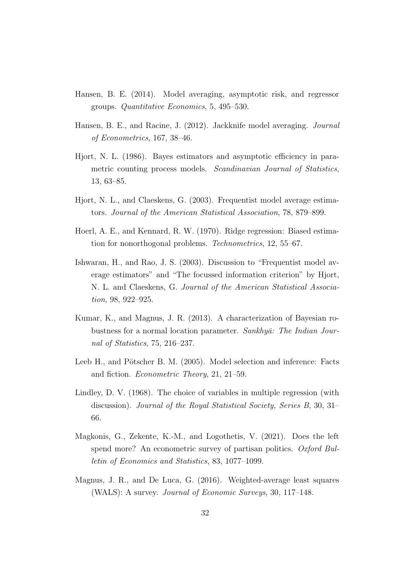- Hansen, B. E. (2014). Model averaging, asymptotic risk, and regressor groups. Quantitative Economics, 5, 495–530.
- Hansen, B. E., and Racine, J. (2012). Jackknife model averaging. Journal of Econometrics, 167, 38–46.
- Hjort, N. L. (1986). Bayes estimators and asymptotic efficiency in parametric counting process models. Scandinavian Journal of Statistics, 13, 63–85.
- Hjort, N. L., and Claeskens, G. (2003). Frequentist model average estimators. Journal of the American Statistical Association, 78, 879–899.
- Hoerl, A. E., and Kennard, R. W. (1970). Ridge regression: Biased estimation for nonorthogonal problems. Technometrics, 12, 55–67.
- Ishwaran, H., and Rao, J. S. (2003). Discussion to "Frequentist model average estimators" and "The focussed information criterion" by Hjort, N. L. and Claeskens, G. Journal of the American Statistical Association, 98, 922–925.
- Kumar, K., and Magnus, J. R. (2013). A characterization of Bayesian robustness for a normal location parameter. Sankhyā: The Indian Journal of Statistics, 75, 216–237.
- Leeb H., and Pötscher B. M. (2005). Model selection and inference: Facts and fiction. Econometric Theory, 21, 21–59.
- Lindley, D. V. (1968). The choice of variables in multiple regression (with discussion). Journal of the Royal Statistical Society, Series B, 30, 31– 66.
- Magkonis, G., Zekente, K.-M., and Logothetis, V. (2021). Does the left spend more? An econometric survey of partisan politics. Oxford Bulletin of Economics and Statistics, 83, 1077–1099.
- Magnus, J. R., and De Luca, G. (2016). Weighted-average least squares (WALS): A survey. Journal of Economic Surveys, 30, 117–148.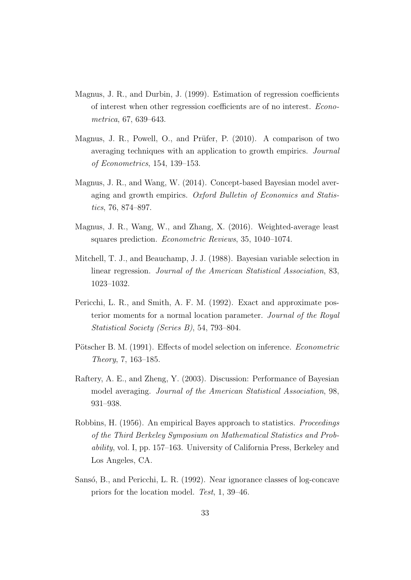- Magnus, J. R., and Durbin, J. (1999). Estimation of regression coefficients of interest when other regression coefficients are of no interest. Econometrica, 67, 639–643.
- Magnus, J. R., Powell, O., and Prüfer, P.  $(2010)$ . A comparison of two averaging techniques with an application to growth empirics. Journal of Econometrics, 154, 139–153.
- Magnus, J. R., and Wang, W. (2014). Concept-based Bayesian model averaging and growth empirics. Oxford Bulletin of Economics and Statistics, 76, 874–897.
- Magnus, J. R., Wang, W., and Zhang, X. (2016). Weighted-average least squares prediction. Econometric Reviews, 35, 1040–1074.
- Mitchell, T. J., and Beauchamp, J. J. (1988). Bayesian variable selection in linear regression. Journal of the American Statistical Association, 83, 1023–1032.
- Pericchi, L. R., and Smith, A. F. M. (1992). Exact and approximate posterior moments for a normal location parameter. Journal of the Royal Statistical Society (Series B), 54, 793–804.
- Pötscher B. M. (1991). Effects of model selection on inference. Econometric Theory, 7, 163–185.
- Raftery, A. E., and Zheng, Y. (2003). Discussion: Performance of Bayesian model averaging. Journal of the American Statistical Association, 98, 931–938.
- Robbins, H. (1956). An empirical Bayes approach to statistics. Proceedings of the Third Berkeley Symposium on Mathematical Statistics and Probability, vol. I, pp. 157–163. University of California Press, Berkeley and Los Angeles, CA.
- Sansó, B., and Pericchi, L. R. (1992). Near ignorance classes of log-concave priors for the location model. Test, 1, 39–46.